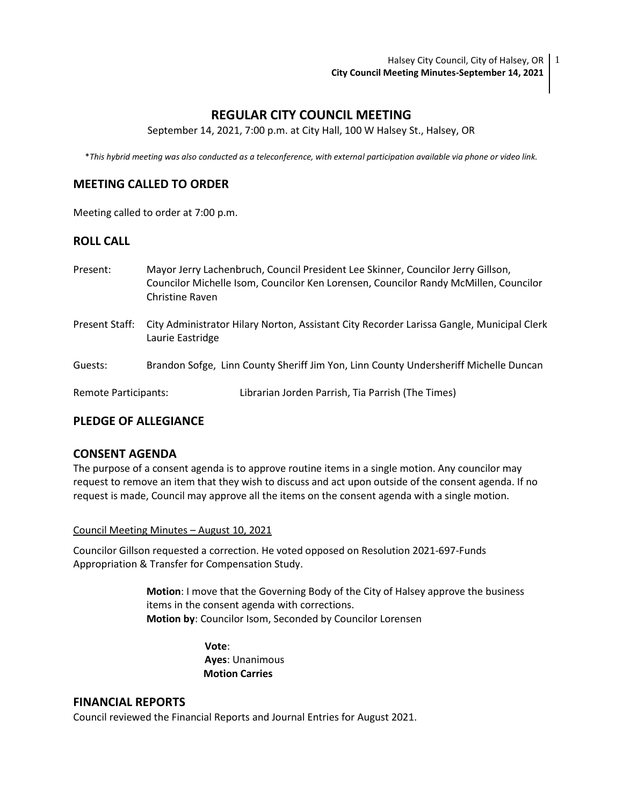Halsey City Council, City of Halsey, OR  $\mid$  1 **City Council Meeting Minutes-September 14, 2021**

# **REGULAR CITY COUNCIL MEETING**

September 14, 2021, 7:00 p.m. at City Hall, 100 W Halsey St., Halsey, OR

\**This hybrid meeting was also conducted as a teleconference, with external participation available via phone or video link.*

## **MEETING CALLED TO ORDER**

Meeting called to order at 7:00 p.m.

## **ROLL CALL**

- Present: Mayor Jerry Lachenbruch, Council President Lee Skinner, Councilor Jerry Gillson, Councilor Michelle Isom, Councilor Ken Lorensen, Councilor Randy McMillen, Councilor Christine Raven Present Staff: City Administrator Hilary Norton, Assistant City Recorder Larissa Gangle, Municipal Clerk Laurie Eastridge
- Guests: Brandon Sofge, Linn County Sheriff Jim Yon, Linn County Undersheriff Michelle Duncan

Remote Participants: Librarian Jorden Parrish, Tia Parrish (The Times)

### **PLEDGE OF ALLEGIANCE**

#### **CONSENT AGENDA**

The purpose of a consent agenda is to approve routine items in a single motion. Any councilor may request to remove an item that they wish to discuss and act upon outside of the consent agenda. If no request is made, Council may approve all the items on the consent agenda with a single motion.

Council Meeting Minutes – August 10, 2021

Councilor Gillson requested a correction. He voted opposed on Resolution 2021-697-Funds Appropriation & Transfer for Compensation Study.

> **Motion**: I move that the Governing Body of the City of Halsey approve the business items in the consent agenda with corrections. **Motion by**: Councilor Isom, Seconded by Councilor Lorensen

> > **Vote**: **Ayes**: Unanimous  **Motion Carries**

### **FINANCIAL REPORTS**

Council reviewed the Financial Reports and Journal Entries for August 2021.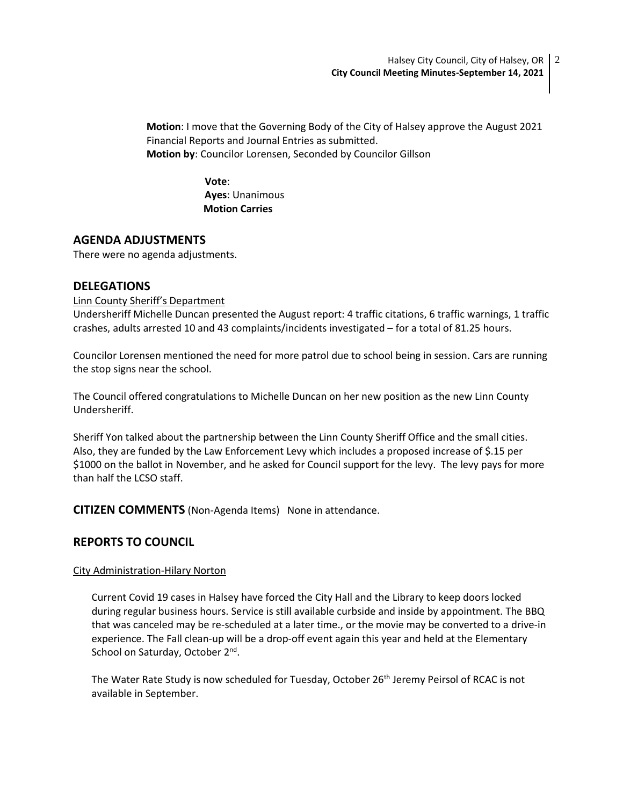**Motion**: I move that the Governing Body of the City of Halsey approve the August 2021 Financial Reports and Journal Entries as submitted. **Motion by**: Councilor Lorensen, Seconded by Councilor Gillson

> **Vote**: **Ayes**: Unanimous  **Motion Carries**

## **AGENDA ADJUSTMENTS**

There were no agenda adjustments.

### **DELEGATIONS**

### Linn County Sheriff's Department

Undersheriff Michelle Duncan presented the August report: 4 traffic citations, 6 traffic warnings, 1 traffic crashes, adults arrested 10 and 43 complaints/incidents investigated – for a total of 81.25 hours.

Councilor Lorensen mentioned the need for more patrol due to school being in session. Cars are running the stop signs near the school.

The Council offered congratulations to Michelle Duncan on her new position as the new Linn County Undersheriff.

Sheriff Yon talked about the partnership between the Linn County Sheriff Office and the small cities. Also, they are funded by the Law Enforcement Levy which includes a proposed increase of \$.15 per \$1000 on the ballot in November, and he asked for Council support for the levy. The levy pays for more than half the LCSO staff.

**CITIZEN COMMENTS** (Non-Agenda Items) None in attendance.

## **REPORTS TO COUNCIL**

### City Administration-Hilary Norton

Current Covid 19 cases in Halsey have forced the City Hall and the Library to keep doors locked during regular business hours. Service is still available curbside and inside by appointment. The BBQ that was canceled may be re-scheduled at a later time., or the movie may be converted to a drive-in experience. The Fall clean-up will be a drop-off event again this year and held at the Elementary School on Saturday, October 2<sup>nd</sup>.

The Water Rate Study is now scheduled for Tuesday, October 26<sup>th</sup> Jeremy Peirsol of RCAC is not available in September.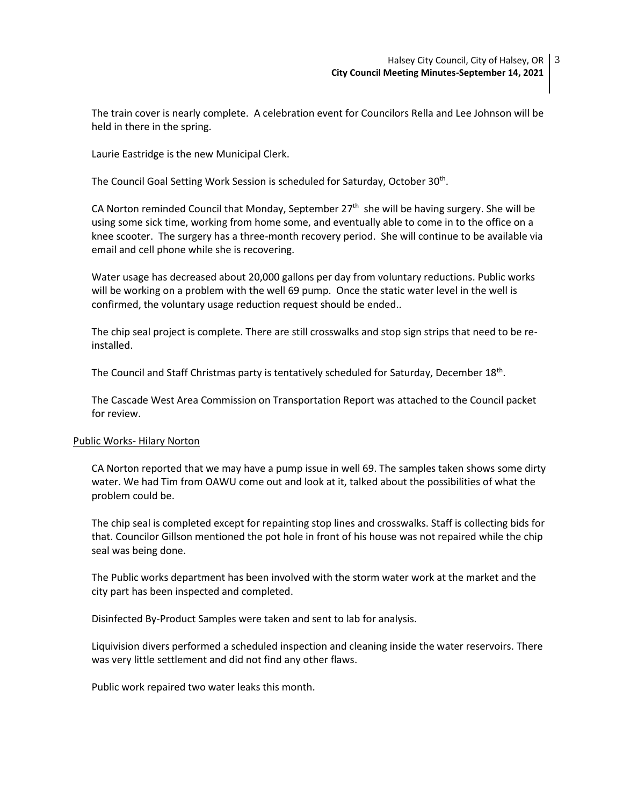The train cover is nearly complete. A celebration event for Councilors Rella and Lee Johnson will be held in there in the spring.

Laurie Eastridge is the new Municipal Clerk.

The Council Goal Setting Work Session is scheduled for Saturday, October 30<sup>th</sup>.

CA Norton reminded Council that Monday, September 27<sup>th</sup> she will be having surgery. She will be using some sick time, working from home some, and eventually able to come in to the office on a knee scooter. The surgery has a three-month recovery period. She will continue to be available via email and cell phone while she is recovering.

Water usage has decreased about 20,000 gallons per day from voluntary reductions. Public works will be working on a problem with the well 69 pump. Once the static water level in the well is confirmed, the voluntary usage reduction request should be ended..

The chip seal project is complete. There are still crosswalks and stop sign strips that need to be reinstalled.

The Council and Staff Christmas party is tentatively scheduled for Saturday, December  $18<sup>th</sup>$ .

The Cascade West Area Commission on Transportation Report was attached to the Council packet for review.

#### Public Works- Hilary Norton

CA Norton reported that we may have a pump issue in well 69. The samples taken shows some dirty water. We had Tim from OAWU come out and look at it, talked about the possibilities of what the problem could be.

The chip seal is completed except for repainting stop lines and crosswalks. Staff is collecting bids for that. Councilor Gillson mentioned the pot hole in front of his house was not repaired while the chip seal was being done.

The Public works department has been involved with the storm water work at the market and the city part has been inspected and completed.

Disinfected By-Product Samples were taken and sent to lab for analysis.

Liquivision divers performed a scheduled inspection and cleaning inside the water reservoirs. There was very little settlement and did not find any other flaws.

Public work repaired two water leaks this month.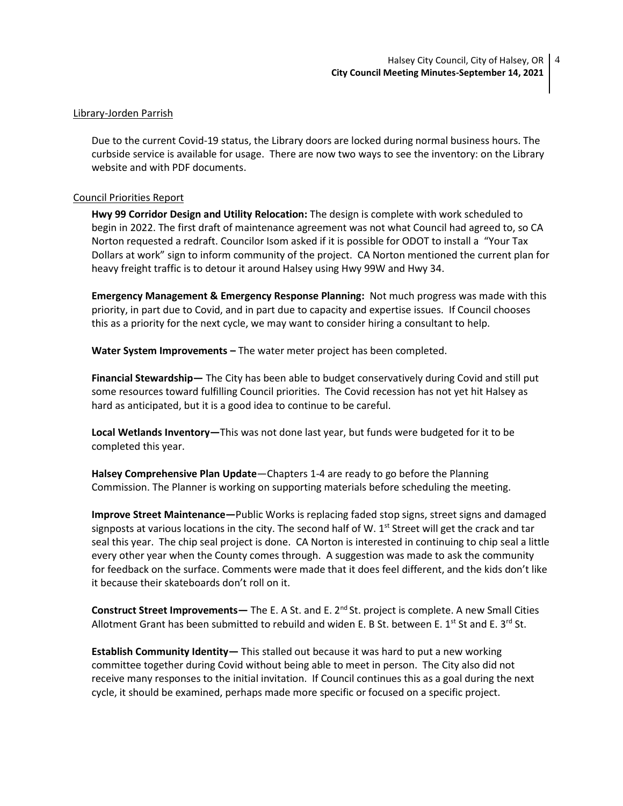#### Library-Jorden Parrish

Due to the current Covid-19 status, the Library doors are locked during normal business hours. The curbside service is available for usage. There are now two ways to see the inventory: on the Library website and with PDF documents.

#### Council Priorities Report

**Hwy 99 Corridor Design and Utility Relocation:** The design is complete with work scheduled to begin in 2022. The first draft of maintenance agreement was not what Council had agreed to, so CA Norton requested a redraft. Councilor Isom asked if it is possible for ODOT to install a "Your Tax Dollars at work" sign to inform community of the project. CA Norton mentioned the current plan for heavy freight traffic is to detour it around Halsey using Hwy 99W and Hwy 34.

**Emergency Management & Emergency Response Planning:** Not much progress was made with this priority, in part due to Covid, and in part due to capacity and expertise issues. If Council chooses this as a priority for the next cycle, we may want to consider hiring a consultant to help.

**Water System Improvements –** The water meter project has been completed.

**Financial Stewardship—** The City has been able to budget conservatively during Covid and still put some resources toward fulfilling Council priorities. The Covid recession has not yet hit Halsey as hard as anticipated, but it is a good idea to continue to be careful.

**Local Wetlands Inventory—**This was not done last year, but funds were budgeted for it to be completed this year.

**Halsey Comprehensive Plan Update**—Chapters 1-4 are ready to go before the Planning Commission. The Planner is working on supporting materials before scheduling the meeting.

**Improve Street Maintenance—**Public Works is replacing faded stop signs, street signs and damaged signposts at various locations in the city. The second half of W.  $1<sup>st</sup>$  Street will get the crack and tar seal this year. The chip seal project is done. CA Norton is interested in continuing to chip seal a little every other year when the County comes through. A suggestion was made to ask the community for feedback on the surface. Comments were made that it does feel different, and the kids don't like it because their skateboards don't roll on it.

**Construct Street Improvements—** The E. A St. and E. 2<sup>nd</sup> St. project is complete. A new Small Cities Allotment Grant has been submitted to rebuild and widen E. B St. between E.  $1^{st}$  St and E.  $3^{rd}$  St.

**Establish Community Identity—** This stalled out because it was hard to put a new working committee together during Covid without being able to meet in person. The City also did not receive many responses to the initial invitation. If Council continues this as a goal during the next cycle, it should be examined, perhaps made more specific or focused on a specific project.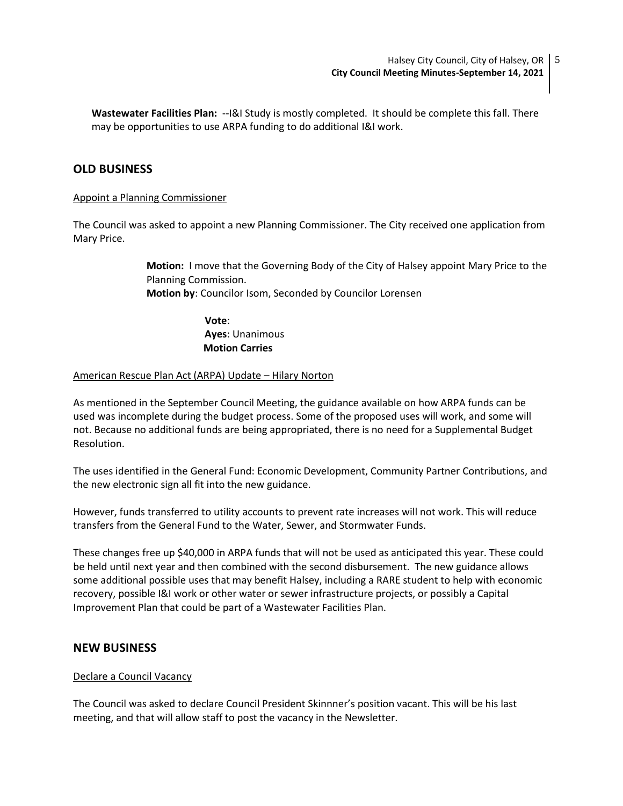**Wastewater Facilities Plan:** --I&I Study is mostly completed. It should be complete this fall. There may be opportunities to use ARPA funding to do additional I&I work.

## **OLD BUSINESS**

#### Appoint a Planning Commissioner

The Council was asked to appoint a new Planning Commissioner. The City received one application from Mary Price.

> **Motion:** I move that the Governing Body of the City of Halsey appoint Mary Price to the Planning Commission. **Motion by**: Councilor Isom, Seconded by Councilor Lorensen

> > **Vote**: **Ayes**: Unanimous  **Motion Carries**

#### American Rescue Plan Act (ARPA) Update – Hilary Norton

As mentioned in the September Council Meeting, the guidance available on how ARPA funds can be used was incomplete during the budget process. Some of the proposed uses will work, and some will not. Because no additional funds are being appropriated, there is no need for a Supplemental Budget Resolution.

The uses identified in the General Fund: Economic Development, Community Partner Contributions, and the new electronic sign all fit into the new guidance.

However, funds transferred to utility accounts to prevent rate increases will not work. This will reduce transfers from the General Fund to the Water, Sewer, and Stormwater Funds.

These changes free up \$40,000 in ARPA funds that will not be used as anticipated this year. These could be held until next year and then combined with the second disbursement. The new guidance allows some additional possible uses that may benefit Halsey, including a RARE student to help with economic recovery, possible I&I work or other water or sewer infrastructure projects, or possibly a Capital Improvement Plan that could be part of a Wastewater Facilities Plan.

#### **NEW BUSINESS**

#### Declare a Council Vacancy

The Council was asked to declare Council President Skinnner's position vacant. This will be his last meeting, and that will allow staff to post the vacancy in the Newsletter.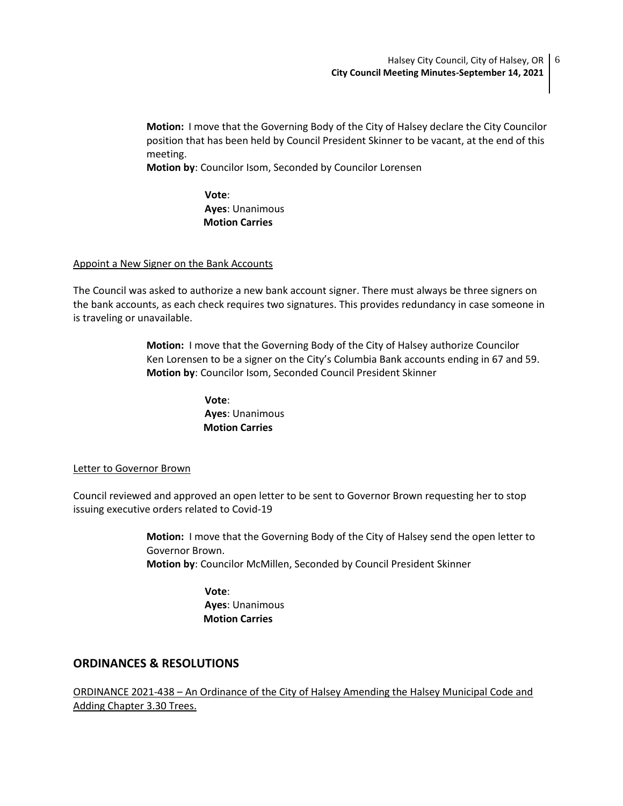**Motion:** I move that the Governing Body of the City of Halsey declare the City Councilor position that has been held by Council President Skinner to be vacant, at the end of this meeting.

**Motion by**: Councilor Isom, Seconded by Councilor Lorensen

 **Vote**: **Ayes**: Unanimous  **Motion Carries**

### Appoint a New Signer on the Bank Accounts

The Council was asked to authorize a new bank account signer. There must always be three signers on the bank accounts, as each check requires two signatures. This provides redundancy in case someone in is traveling or unavailable.

> **Motion:** I move that the Governing Body of the City of Halsey authorize Councilor Ken Lorensen to be a signer on the City's Columbia Bank accounts ending in 67 and 59. **Motion by**: Councilor Isom, Seconded Council President Skinner

> > **Vote**: **Ayes**: Unanimous  **Motion Carries**

#### Letter to Governor Brown

Council reviewed and approved an open letter to be sent to Governor Brown requesting her to stop issuing executive orders related to Covid-19

> **Motion:** I move that the Governing Body of the City of Halsey send the open letter to Governor Brown. **Motion by**: Councilor McMillen, Seconded by Council President Skinner

> > **Vote**: **Ayes**: Unanimous  **Motion Carries**

### **ORDINANCES & RESOLUTIONS**

ORDINANCE 2021-438 – An Ordinance of the City of Halsey Amending the Halsey Municipal Code and Adding Chapter 3.30 Trees.